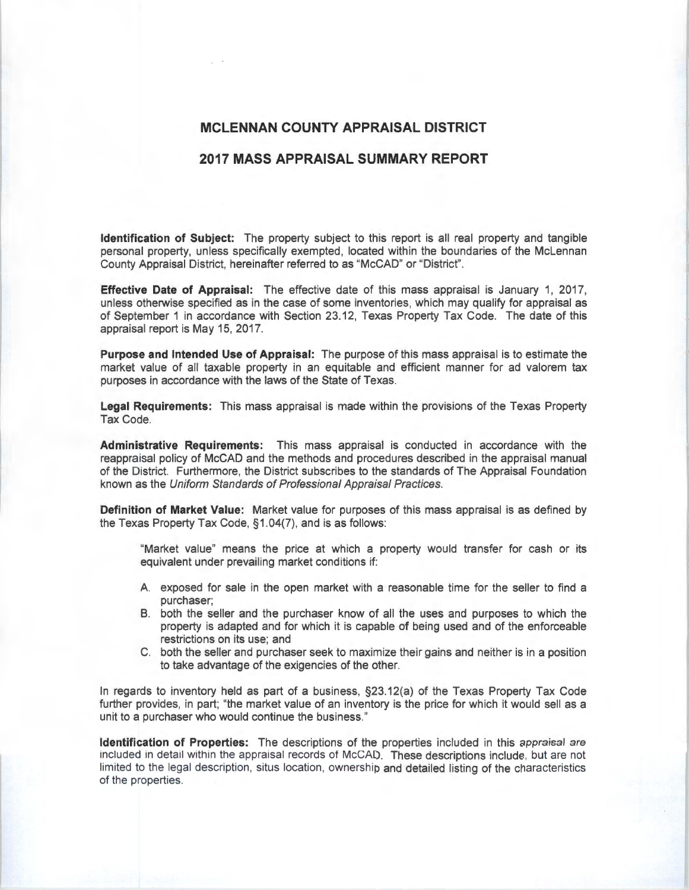## **MCLENNAN COUNTY APPRAISAL DISTRICT**

## **2017 MASS APPRAISAL SUMMARY REPORT**

**Identification of Subject:** The property subject to this report is all real property and tangible personal property, unless specifically exempted, located within the boundaries of the McLennan County Appraisal District, hereinafter referred to as "McCAD" or "District".

**Effective Date of Appraisal:** The effective date of this mass appraisal is January 1, 2017, unless otherwise specified as in the case of some inventories, which may qualify for appraisal as of September 1 in accordance with Section 23.12, Texas Property Tax Code. The date of this appraisal report is May 15, 2017.

**Purpose and Intended Use of Appraisal:** The purpose of this mass appraisal is to estimate the market value of all taxable property in an equitable and efficient manner for ad valorem tax purposes in accordance with the laws of the State of Texas.

**Legal Requirements:** This mass appraisal is made within the provisions of the Texas Property Tax Code.

**Administrative Requirements:** This mass appraisal is conducted in accordance with the reappraisal policy of McCAD and the methods and procedures described in the appraisal manual of the District. Furthermore, the District subscribes to the standards of The Appraisal Foundation known as the Uniform Standards of Professional Appraisal Practices.

**Definition of Market Value:** Market value for purposes of this mass appraisal is as defined by the Texas Property Tax Code, §1 .04(7), and is as follows:

"Market value" means the price at which a property would transfer for cash or its equivalent under prevailing market conditions if:

- A exposed for sale in the open market with a reasonable time for the seller to find a purchaser;
- B. both the seller and the purchaser know of all the uses and purposes to which the property is adapted and for which it is capable of being used and of the enforceable restrictions on its use; and
- C. both the seller and purchaser seek to maximize their gains and neither is in a position to take advantage of the exigencies of the other.

In regards to inventory held as part of a business, §23.12(a) of the Texas Property Tax Code further provides, in part; "the market value of an inventory is the price for which it would sell as a unit to a purchaser who would continue the business."

**Identification of Properties:** The descriptions of the properties included in this appraisal are included in detail within the appraisal records of McCAD. These descriptions include, but are not limited to the legal description, situs location, ownership and detailed listing of the characteristics of the properties.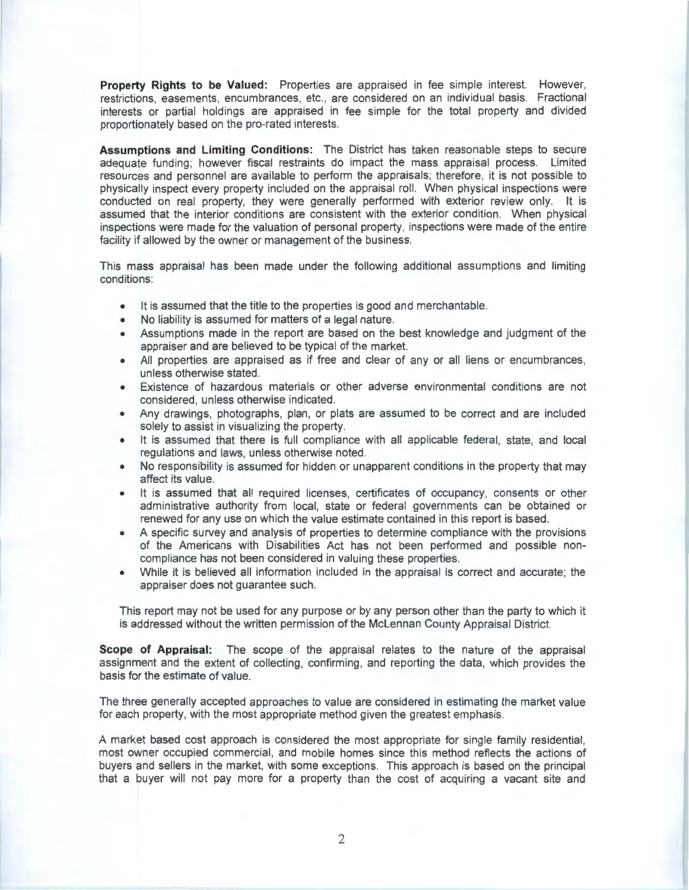**Property Rights to be Valued:** Properties are appraised in fee simple interest. However, restrictions, easements, encumbrances, etc., are considered on an individual basis. Fractional interests or partial holdings are appraised in fee simple for the total property and divided proportionately based on the pro-rated interests.

**Assumptions and Limiting Conditions:** The District has taken reasonable steps to secure adequate funding; however fiscal restraints do impact the mass appraisal process. Limited resources and personnel are available to perform the appraisals; therefore, it is not possible to physically inspect every property included on the appraisal roll. When physical inspections were conducted on real property, they were generally performed with exterior review only. It is assumed that the interior conditions are consistent with the exterior condition. When physical inspections were made for the valuation of personal property, inspections were made of the entire facility if allowed by the owner or management of the business.

This mass appraisal has been made under the following additional assumptions and limiting conditions:

- It is assumed that the title to the properties is good and merchantable.
- No liability is assumed for matters of a legal nature.
- Assumptions made in the report are based on the best knowledge and judgment of the appraiser and are believed to be typical of the market.
- All properties are appraised as if free and clear of any or all liens or encumbrances, unless otherwise stated.
- Existence of hazardous materials or other adverse environmental conditions are not considered, unless otherwise indicated.
- Any drawings, photographs, plan, or plats are assumed to be correct and are included solely to assist in visualizing the property.
- It is assumed that there is full compliance with all applicable federal, state, and local regulations and laws, unless otherwise noted.
- No responsibility is assumed for hidden or unapparent conditions in the property that may affect its value.
- It is assumed that all required licenses, certificates of occupancy, consents or other administrative authority from local, state or federal governments can be obtained or renewed for any use on which the value estimate contained in this report is based.
- A specific survey and analysis of properties to determine compliance with the provisions of the Americans with Disabilities Act has not been performed and possible noncompliance has not been considered in valuing these properties.
- While it is believed all information included in the appraisal is correct and accurate; the appraiser does not guarantee such.

This report may not be used for any purpose or by any person other than the party to which it is addressed without the written permission of the Mclennan County Appraisal District.

**Scope of Appraisal:** The scope of the appraisal relates to the nature of the appraisal assignment and the extent of collecting, confirming, and reporting the data, which provides the basis for the estimate of value.

The three generally accepted approaches to value are considered in estimating the market value for each property, with the most appropriate method given the greatest emphasis.

A market based cost approach is considered the most appropriate for single family residential, most owner occupied commercial, and mobile homes since this method reflects the actions of buyers and sellers in the market, with some exceptions. This approach is based on the principal that a buyer will not pay more for a property than the cost of acquiring a vacant site and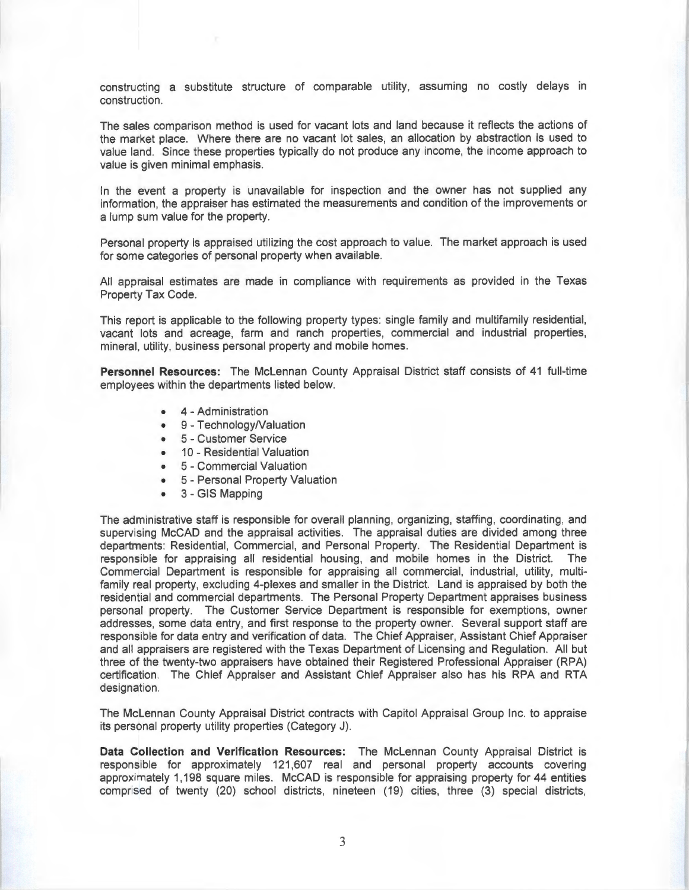constructing a substitute structure of comparable utility, assuming no costly delays in construction.

The sales comparison method is used for vacant lots and land because it reflects the actions of the market place. Where there are no vacant lot sales, an allocation by abstraction is used to value land. Since these properties typically do not produce any income, the income approach to value is given minimal emphasis.

In the event a property is unavailable for inspection and the owner has not supplied any information, the appraiser has estimated the measurements and condition of the improvements or a lump sum value for the property.

Personal property is appraised utilizing the cost approach to value. The market approach is used for some categories of personal property when available.

All appraisal estimates are made in compliance with requirements as provided in the Texas Property Tax Code.

This report is applicable to the following property types: single family and multifamily residential, vacant lots and acreage, farm and ranch properties, commercial and industrial properties, mineral, utility, business personal property and mobile homes.

**Personnel Resources:** The Mclennan County Appraisal District staff consists of 41 full-time employees within the departments listed below.

- 4 Administration
- 9 Technology/Valuation
- 5 Customer Service
- 10 Residential Valuation
- 5 Commercial Valuation
- 5 Personal Property Valuation
- 3 GIS Mapping

The administrative staff is responsible for overall planning, organizing, staffing, coordinating , and supervising McCAD and the appraisal activities. The appraisal duties are divided among three departments: Residential, Commercial, and Personal Property. The Residential Department is responsible for appraising all residential housing, and mobile homes in the District. The Commercial Department is responsible for appraising all commercial, industrial, utility, multifamily real property, excluding 4-plexes and smaller in the District. Land is appraised by both the residential and commercial departments. The Personal Property Department appraises business personal property. The Customer Service Department is responsible for exemptions, owner addresses, some data entry, and first response to the property owner. Several support staff are responsible for data entry and verification of data. The Chief Appraiser, Assistant Chief Appraiser and all appraisers are registered with the Texas Department of Licensing and Regulation. All but three of the twenty-two appraisers have obtained their Registered Professional Appraiser (RPA) certification. The Chief Appraiser and Assistant Chief Appraiser also has his RPA and RTA designation.

The Mclennan County Appraisal District contracts with Capitol Appraisal Group Inc. to appraise its personal property utility properties (Category J).

**Data Collection and Verification Resources:** The Mclennan County Appraisal District is responsible for approximately 121,607 real and personal property accounts covering approximately 1, 198 square miles. McCAD is responsible for appraising property for 44 entities comprised of twenty (20) school districts, nineteen (19) cities, three (3) special districts,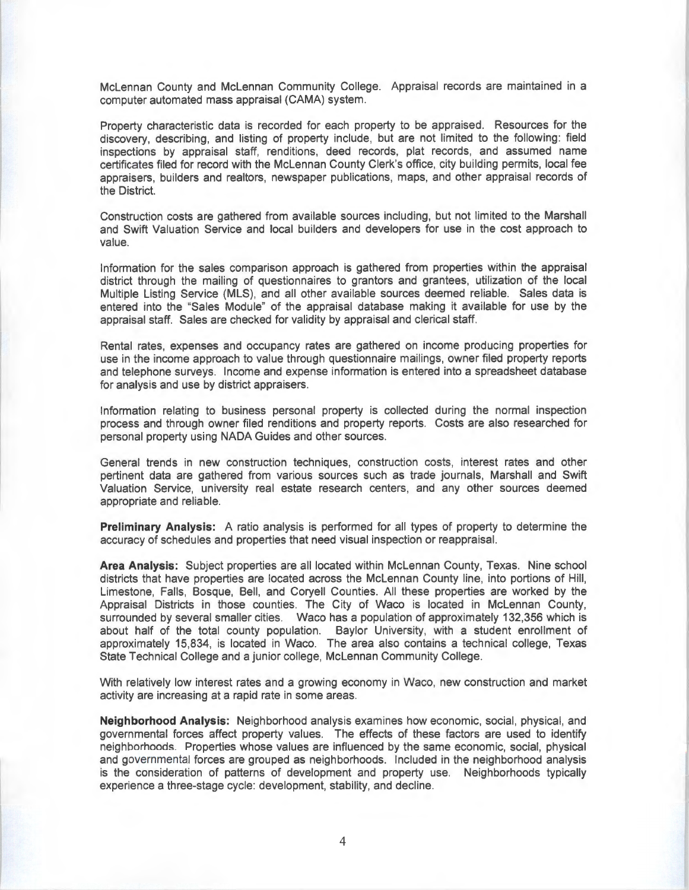Mclennan County and Mclennan Community College. Appraisal records are maintained in a computer automated mass appraisal (CAMA) system.

Property characteristic data is recorded for each property to be appraised. Resources for the discovery, describing, and listing of property include, but are not limited to the following: field inspections by appraisal staff, renditions, deed records, plat records, and assumed name certificates filed for record with the Mclennan County Clerk's office, city building permits, local fee appraisers, builders and realtors, newspaper publications, maps, and other appraisal records of the District.

Construction costs are gathered from available sources including, but not limited to the Marshall and Swift Valuation Service and local builders and developers for use in the cost approach to value.

Information for the sales comparison approach is gathered from properties within the appraisal district through the mailing of questionnaires to grantors and grantees, utilization of the local Multiple Listing Service (MlS), and all other available sources deemed reliable. Sales data is entered into the "Sales Module" of the appraisal database making it available for use by the appraisal staff. Sales are checked for validity by appraisal and clerical staff.

Rental rates, expenses and occupancy rates are gathered on income producing properties for use in the income approach to value through questionnaire mailings, owner filed property reports and telephone surveys. Income and expense information is entered into a spreadsheet database for analysis and use by district appraisers.

Information relating to business personal property is collected during the normal inspection process and through owner filed renditions and property reports. Costs are also researched for personal property using NADA Guides and other sources.

General trends in new construction techniques, construction costs, interest rates and other pertinent data are gathered from various sources such as trade journals, Marshall and Swift Valuation Service, university real estate research centers, and any other sources deemed appropriate and reliable.

**Preliminary Analysis:** A ratio analysis is performed for all types of property to determine the accuracy of schedules and properties that need visual inspection or reappraisal.

**Area Analysis:** Subject properties are all located within Mclennan County, Texas. Nine school districts that have properties are located across the Mclennan County line, into portions of Hill, Limestone, Falls, Bosque, Bell, and Coryell Counties. All these properties are worked by the Appraisal Districts in those counties. The City of Waco is located in Mclennan County, surrounded by several smaller cities. Waco has a population of approximately 132,356 which is about half of the total county population. Baylor University, with a student enrollment of approximately 15,834, is located in Waco. The area also contains a technical college, Texas State Technical College and a junior college, Mclennan Community College.

With relatively low interest rates and a growing economy in Waco, new construction and market activity are increasing at a rapid rate in some areas.

**Neighborhood Analysis:** Neighborhood analysis examines how economic, social, physical, and governmental forces affect property values. The effects of these factors are used to identify neighborhoods. Properties whose values are influenced by the same economic, social, physical and governmental forces are grouped as neighborhoods. Included in the neighborhood analysis is the consideration of patterns of development and property use. Neighborhoods typically experience a three-stage cycle: development, stability, and decline.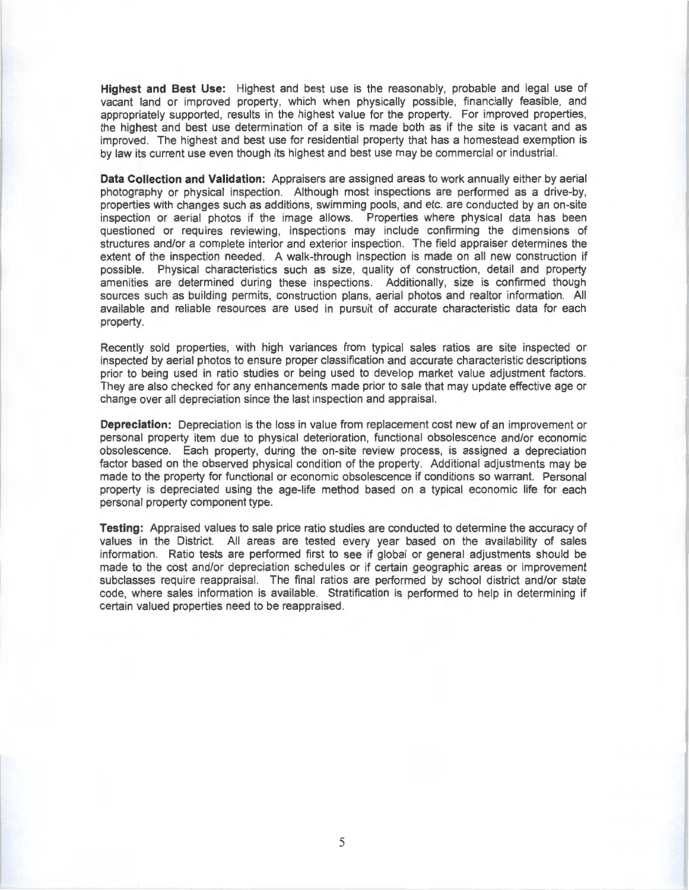**Highest and Best Use:** Highest and best use is the reasonably, probable and legal use of vacant land or improved property, which when physically possible, financially feasible, and appropriately supported, results in the highest value for the property. For improved properties, the highest and best use determination of a site is made both as if the site is vacant and as improved. The highest and best use for residential property that has a homestead exemption is by law its current use even though its highest and best use may be commercial or industrial.

**Data Collection and Validation:** Appraisers are assigned areas to work annually either by aerial photography or physical inspection. Although most inspections are performed as a drive-by, properties with changes such as additions, swimming pools, and etc. are conducted by an on-site inspection or aerial photos if the image allows. Properties where physical data has been questioned or requires reviewing, inspections may include confirming the dimensions of structures and/or a complete interior and exterior inspection. The field appraiser determines the extent of the inspection needed. A walk-through inspection is made on all new construction if possible. Physical characteristics such as size, quality of construction, detail and property amenities are determined during these inspections. Additionally, size is confirmed though sources such as building permits, construction plans, aerial photos and realtor information. All available and reliable resources are used in pursuit of accurate characteristic data for each property.

Recently sold properties, with high variances from typical sales ratios are site inspected or inspected by aerial photos to ensure proper classification and accurate characteristic descriptions prior to being used in ratio studies or being used to develop market value adjustment factors. They are also checked for any enhancements made prior to sale that may update effective age or change over all depreciation since the last inspection and appraisal.

**Depreciation:** Depreciation is the loss in value from replacement cost new of an improvement or personal property item due to physical deterioration, functional obsolescence and/or economic obsolescence. Each property, during the on-site review process, is assigned a depreciation factor based on the observed physical condition of the property. Additional adjustments may be made to the property for functional or economic obsolescence if conditions so warrant. Personal property is depreciated using the age-life method based on a typical economic life for each personal property component type.

**Testing:** Appraised values to sale price ratio studies are conducted to determine the accuracy of values in the District. All areas are tested every year based on the availability of sales information. Ratio tests are performed first to see if global or general adjustments should be made to the cost and/or depreciation schedules or if certain geographic areas or improvement subclasses require reappraisal. The final ratios are performed by school district and/or state code, where sales information is available. Stratification is performed to help in determining if certain valued properties need to be reappraised.